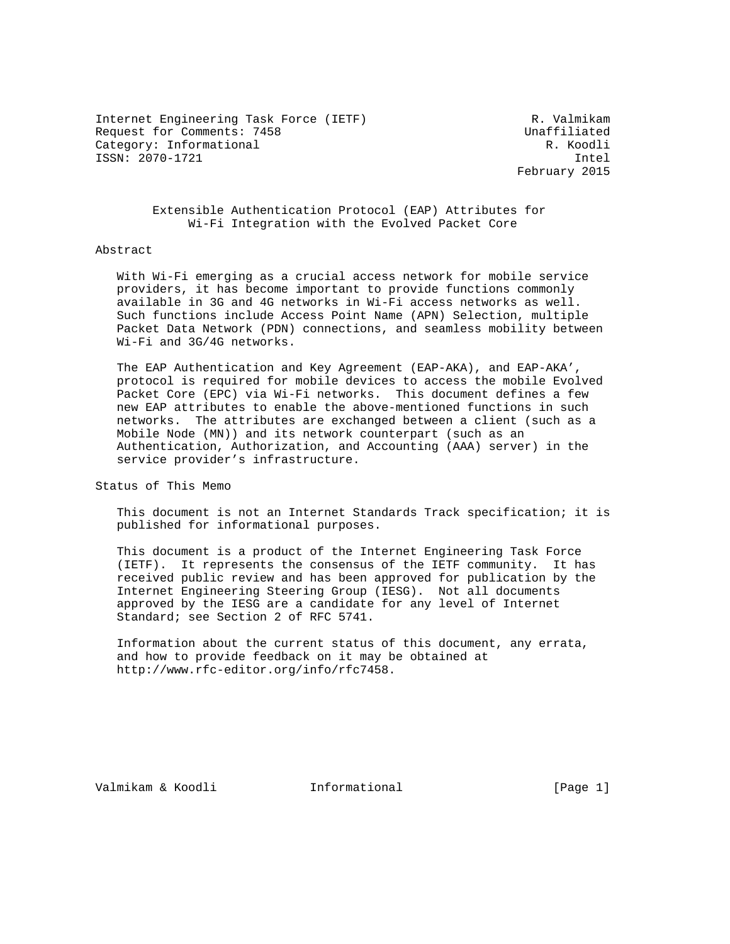Internet Engineering Task Force (IETF) R. Valmikam Request for Comments: 7458 Unaffiliated Category: Informational R. Koodli ISSN: 2070-1721 Intel

February 2015

 Extensible Authentication Protocol (EAP) Attributes for Wi-Fi Integration with the Evolved Packet Core

#### Abstract

 With Wi-Fi emerging as a crucial access network for mobile service providers, it has become important to provide functions commonly available in 3G and 4G networks in Wi-Fi access networks as well. Such functions include Access Point Name (APN) Selection, multiple Packet Data Network (PDN) connections, and seamless mobility between Wi-Fi and 3G/4G networks.

 The EAP Authentication and Key Agreement (EAP-AKA), and EAP-AKA', protocol is required for mobile devices to access the mobile Evolved Packet Core (EPC) via Wi-Fi networks. This document defines a few new EAP attributes to enable the above-mentioned functions in such networks. The attributes are exchanged between a client (such as a Mobile Node (MN)) and its network counterpart (such as an Authentication, Authorization, and Accounting (AAA) server) in the service provider's infrastructure.

Status of This Memo

 This document is not an Internet Standards Track specification; it is published for informational purposes.

 This document is a product of the Internet Engineering Task Force (IETF). It represents the consensus of the IETF community. It has received public review and has been approved for publication by the Internet Engineering Steering Group (IESG). Not all documents approved by the IESG are a candidate for any level of Internet Standard; see Section 2 of RFC 5741.

 Information about the current status of this document, any errata, and how to provide feedback on it may be obtained at http://www.rfc-editor.org/info/rfc7458.

Valmikam & Koodli Informational [Page 1]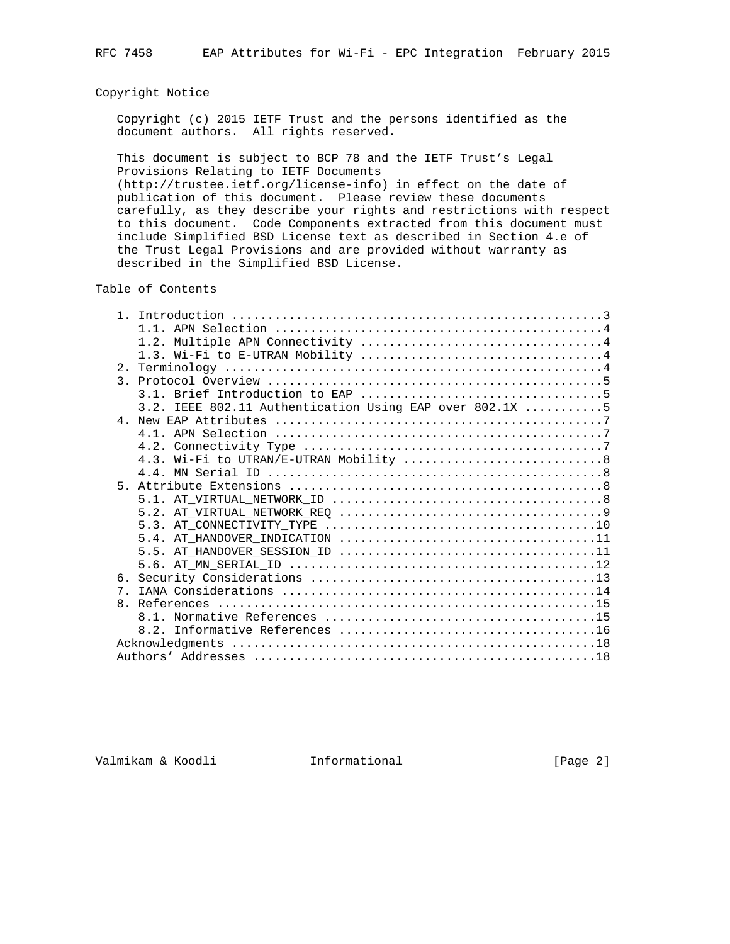## Copyright Notice

 Copyright (c) 2015 IETF Trust and the persons identified as the document authors. All rights reserved.

 This document is subject to BCP 78 and the IETF Trust's Legal Provisions Relating to IETF Documents (http://trustee.ietf.org/license-info) in effect on the date of publication of this document. Please review these documents carefully, as they describe your rights and restrictions with respect to this document. Code Components extracted from this document must include Simplified BSD License text as described in Section 4.e of

the Trust Legal Provisions and are provided without warranty as

described in the Simplified BSD License.

Table of Contents

|                | 3.2. IEEE 802.11 Authentication Using EAP over 802.1X 5 |
|----------------|---------------------------------------------------------|
|                |                                                         |
|                |                                                         |
|                |                                                         |
|                |                                                         |
|                |                                                         |
| 5 <sub>1</sub> |                                                         |
|                |                                                         |
|                |                                                         |
|                |                                                         |
|                |                                                         |
|                |                                                         |
|                |                                                         |
|                |                                                         |
|                |                                                         |
| 7 <sub>1</sub> |                                                         |
|                |                                                         |
|                |                                                         |
|                |                                                         |
|                |                                                         |
|                |                                                         |

Valmikam & Koodli Informational [Page 2]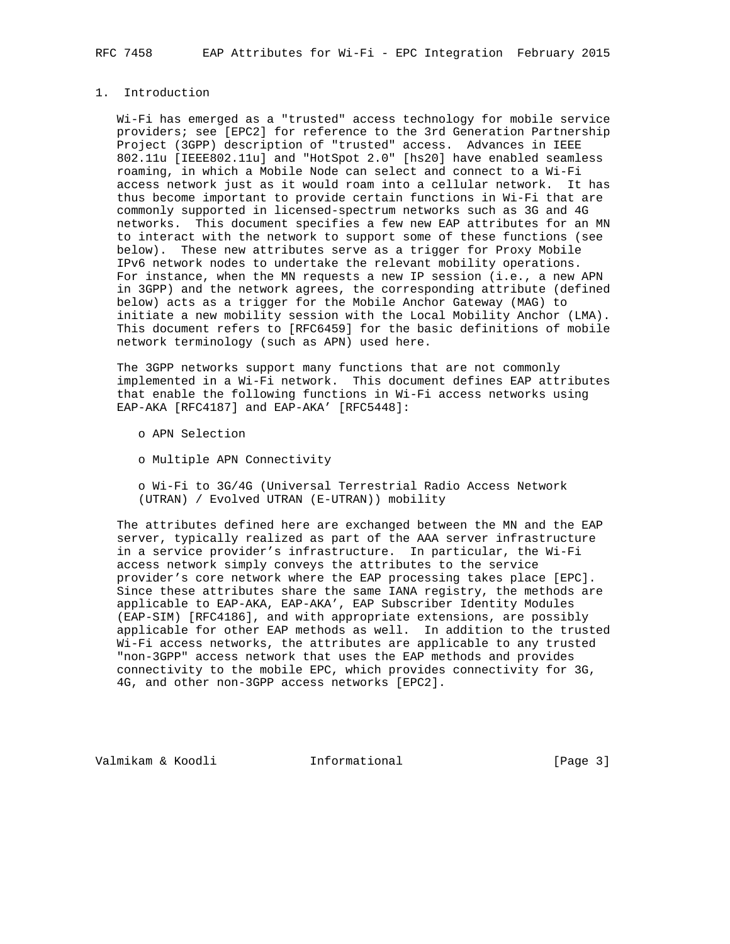## 1. Introduction

 Wi-Fi has emerged as a "trusted" access technology for mobile service providers; see [EPC2] for reference to the 3rd Generation Partnership Project (3GPP) description of "trusted" access. Advances in IEEE 802.11u [IEEE802.11u] and "HotSpot 2.0" [hs20] have enabled seamless roaming, in which a Mobile Node can select and connect to a Wi-Fi access network just as it would roam into a cellular network. It has thus become important to provide certain functions in Wi-Fi that are commonly supported in licensed-spectrum networks such as 3G and 4G networks. This document specifies a few new EAP attributes for an MN to interact with the network to support some of these functions (see below). These new attributes serve as a trigger for Proxy Mobile IPv6 network nodes to undertake the relevant mobility operations. For instance, when the MN requests a new IP session (i.e., a new APN in 3GPP) and the network agrees, the corresponding attribute (defined below) acts as a trigger for the Mobile Anchor Gateway (MAG) to initiate a new mobility session with the Local Mobility Anchor (LMA). This document refers to [RFC6459] for the basic definitions of mobile network terminology (such as APN) used here.

 The 3GPP networks support many functions that are not commonly implemented in a Wi-Fi network. This document defines EAP attributes that enable the following functions in Wi-Fi access networks using EAP-AKA [RFC4187] and EAP-AKA' [RFC5448]:

- o APN Selection
- o Multiple APN Connectivity

 o Wi-Fi to 3G/4G (Universal Terrestrial Radio Access Network (UTRAN) / Evolved UTRAN (E-UTRAN)) mobility

 The attributes defined here are exchanged between the MN and the EAP server, typically realized as part of the AAA server infrastructure in a service provider's infrastructure. In particular, the Wi-Fi access network simply conveys the attributes to the service provider's core network where the EAP processing takes place [EPC]. Since these attributes share the same IANA registry, the methods are applicable to EAP-AKA, EAP-AKA', EAP Subscriber Identity Modules (EAP-SIM) [RFC4186], and with appropriate extensions, are possibly applicable for other EAP methods as well. In addition to the trusted Wi-Fi access networks, the attributes are applicable to any trusted "non-3GPP" access network that uses the EAP methods and provides connectivity to the mobile EPC, which provides connectivity for 3G, 4G, and other non-3GPP access networks [EPC2].

Valmikam & Koodli Informational [Page 3]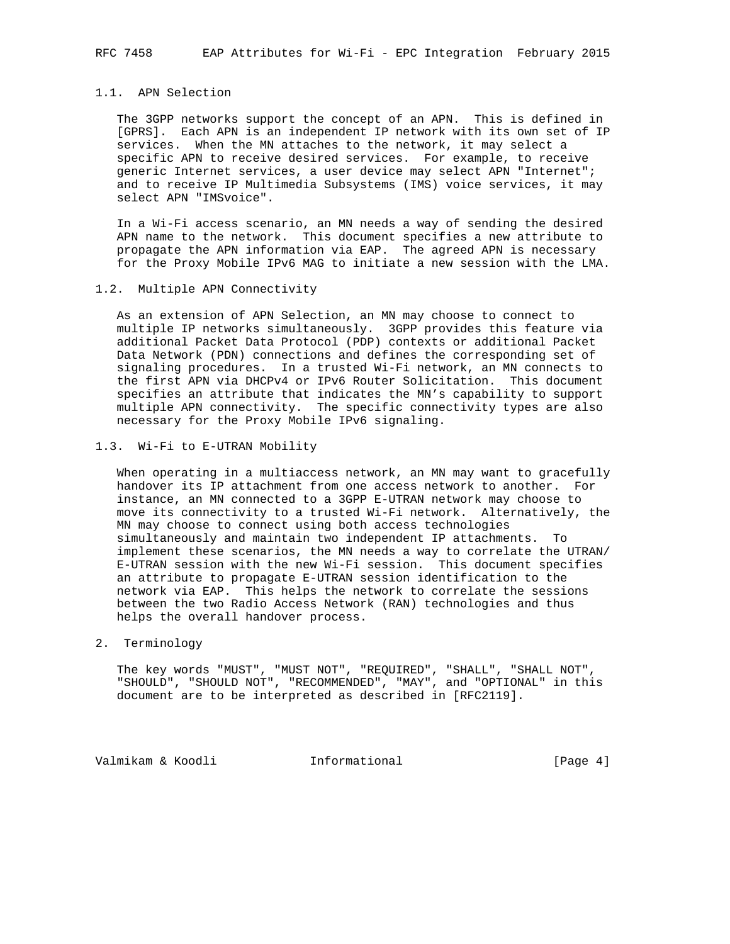## 1.1. APN Selection

 The 3GPP networks support the concept of an APN. This is defined in [GPRS]. Each APN is an independent IP network with its own set of IP services. When the MN attaches to the network, it may select a specific APN to receive desired services. For example, to receive generic Internet services, a user device may select APN "Internet"; and to receive IP Multimedia Subsystems (IMS) voice services, it may select APN "IMSvoice".

 In a Wi-Fi access scenario, an MN needs a way of sending the desired APN name to the network. This document specifies a new attribute to propagate the APN information via EAP. The agreed APN is necessary for the Proxy Mobile IPv6 MAG to initiate a new session with the LMA.

#### 1.2. Multiple APN Connectivity

 As an extension of APN Selection, an MN may choose to connect to multiple IP networks simultaneously. 3GPP provides this feature via additional Packet Data Protocol (PDP) contexts or additional Packet Data Network (PDN) connections and defines the corresponding set of signaling procedures. In a trusted Wi-Fi network, an MN connects to the first APN via DHCPv4 or IPv6 Router Solicitation. This document specifies an attribute that indicates the MN's capability to support multiple APN connectivity. The specific connectivity types are also necessary for the Proxy Mobile IPv6 signaling.

#### 1.3. Wi-Fi to E-UTRAN Mobility

When operating in a multiaccess network, an MN may want to gracefully handover its IP attachment from one access network to another. For instance, an MN connected to a 3GPP E-UTRAN network may choose to move its connectivity to a trusted Wi-Fi network. Alternatively, the MN may choose to connect using both access technologies simultaneously and maintain two independent IP attachments. To implement these scenarios, the MN needs a way to correlate the UTRAN/ E-UTRAN session with the new Wi-Fi session. This document specifies an attribute to propagate E-UTRAN session identification to the network via EAP. This helps the network to correlate the sessions between the two Radio Access Network (RAN) technologies and thus helps the overall handover process.

## 2. Terminology

 The key words "MUST", "MUST NOT", "REQUIRED", "SHALL", "SHALL NOT", "SHOULD", "SHOULD NOT", "RECOMMENDED", "MAY", and "OPTIONAL" in this document are to be interpreted as described in [RFC2119].

Valmikam & Koodli Informational [Page 4]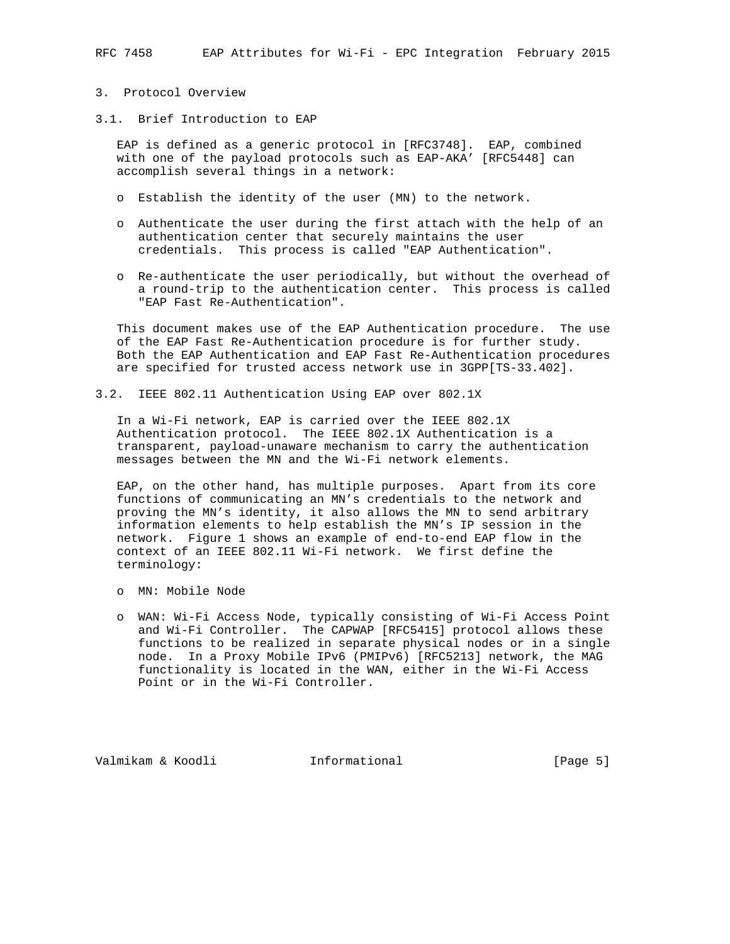## 3. Protocol Overview

3.1. Brief Introduction to EAP

 EAP is defined as a generic protocol in [RFC3748]. EAP, combined with one of the payload protocols such as EAP-AKA' [RFC5448] can accomplish several things in a network:

- o Establish the identity of the user (MN) to the network.
- o Authenticate the user during the first attach with the help of an authentication center that securely maintains the user credentials. This process is called "EAP Authentication".
- o Re-authenticate the user periodically, but without the overhead of a round-trip to the authentication center. This process is called "EAP Fast Re-Authentication".

 This document makes use of the EAP Authentication procedure. The use of the EAP Fast Re-Authentication procedure is for further study. Both the EAP Authentication and EAP Fast Re-Authentication procedures are specified for trusted access network use in 3GPP[TS-33.402].

3.2. IEEE 802.11 Authentication Using EAP over 802.1X

 In a Wi-Fi network, EAP is carried over the IEEE 802.1X Authentication protocol. The IEEE 802.1X Authentication is a transparent, payload-unaware mechanism to carry the authentication messages between the MN and the Wi-Fi network elements.

 EAP, on the other hand, has multiple purposes. Apart from its core functions of communicating an MN's credentials to the network and proving the MN's identity, it also allows the MN to send arbitrary information elements to help establish the MN's IP session in the network. Figure 1 shows an example of end-to-end EAP flow in the context of an IEEE 802.11 Wi-Fi network. We first define the terminology:

- o MN: Mobile Node
- o WAN: Wi-Fi Access Node, typically consisting of Wi-Fi Access Point and Wi-Fi Controller. The CAPWAP [RFC5415] protocol allows these functions to be realized in separate physical nodes or in a single node. In a Proxy Mobile IPv6 (PMIPv6) [RFC5213] network, the MAG functionality is located in the WAN, either in the Wi-Fi Access Point or in the Wi-Fi Controller.

Valmikam & Koodli **Informational** [Page 5]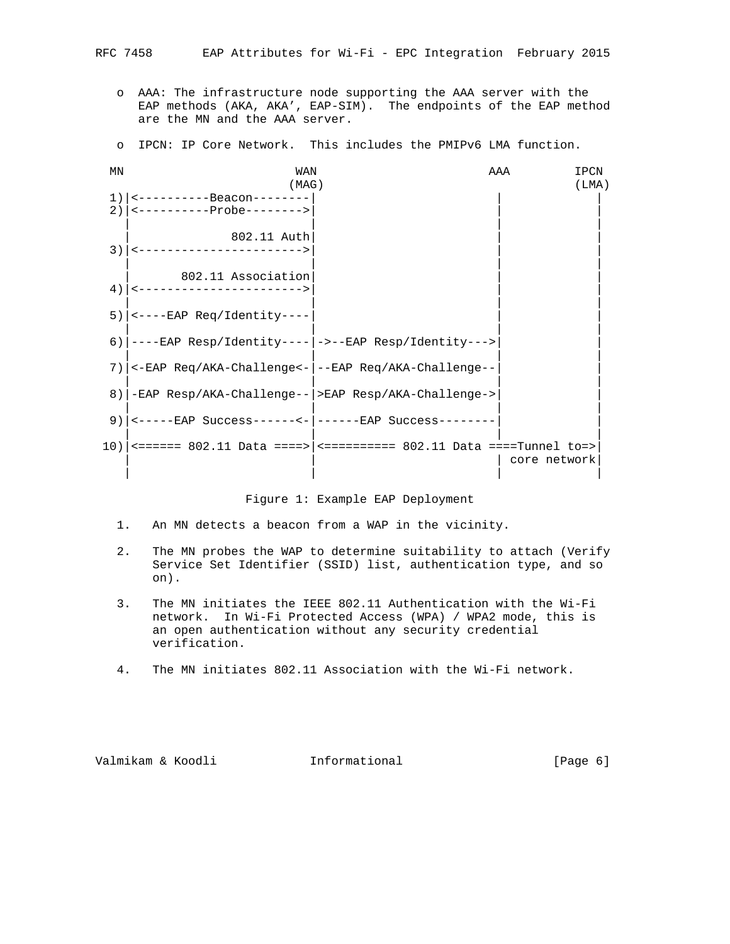- o AAA: The infrastructure node supporting the AAA server with the EAP methods (AKA, AKA', EAP-SIM). The endpoints of the EAP method are the MN and the AAA server.
- o IPCN: IP Core Network. This includes the PMIPv6 LMA function.

| ΜN | WAN                                                         |                                                                               | AAA<br>IPCN  |
|----|-------------------------------------------------------------|-------------------------------------------------------------------------------|--------------|
|    | (MAG)                                                       |                                                                               | (LMA)        |
| 1) | <-----------Beacon--------                                  |                                                                               |              |
|    | $2)$   <-----------Probe-------->                           |                                                                               |              |
| 3) | 802.11 Auth<br><------------------------>                   |                                                                               |              |
| 4) | 802.11 Association<br><------------------------>            |                                                                               |              |
|    | $5$ )   <----EAP Req/Identity----                           |                                                                               |              |
|    | 6) $ ---EAP$ Resp/Identity---- $ ----EAP$ Resp/Identity---> |                                                                               |              |
|    | 7)   <-EAP Req/AKA-Challenge<-   --EAP Req/AKA-Challenge--  |                                                                               |              |
| 8) | -EAP Resp/AKA-Challenge-- >EAP Resp/AKA-Challenge->         |                                                                               |              |
| 9) | <-----EAP Success------<-  ------EAP Success--------        |                                                                               |              |
|    |                                                             | $10$ )   <====== 802.11 Data ====>   <=========== 802.11 Data ====Tunnel to=> | core network |

Figure 1: Example EAP Deployment

- 1. An MN detects a beacon from a WAP in the vicinity.
- 2. The MN probes the WAP to determine suitability to attach (Verify Service Set Identifier (SSID) list, authentication type, and so on).
- 3. The MN initiates the IEEE 802.11 Authentication with the Wi-Fi network. In Wi-Fi Protected Access (WPA) / WPA2 mode, this is an open authentication without any security credential verification.
- 4. The MN initiates 802.11 Association with the Wi-Fi network.

Valmikam & Koodli Informational [Page 6]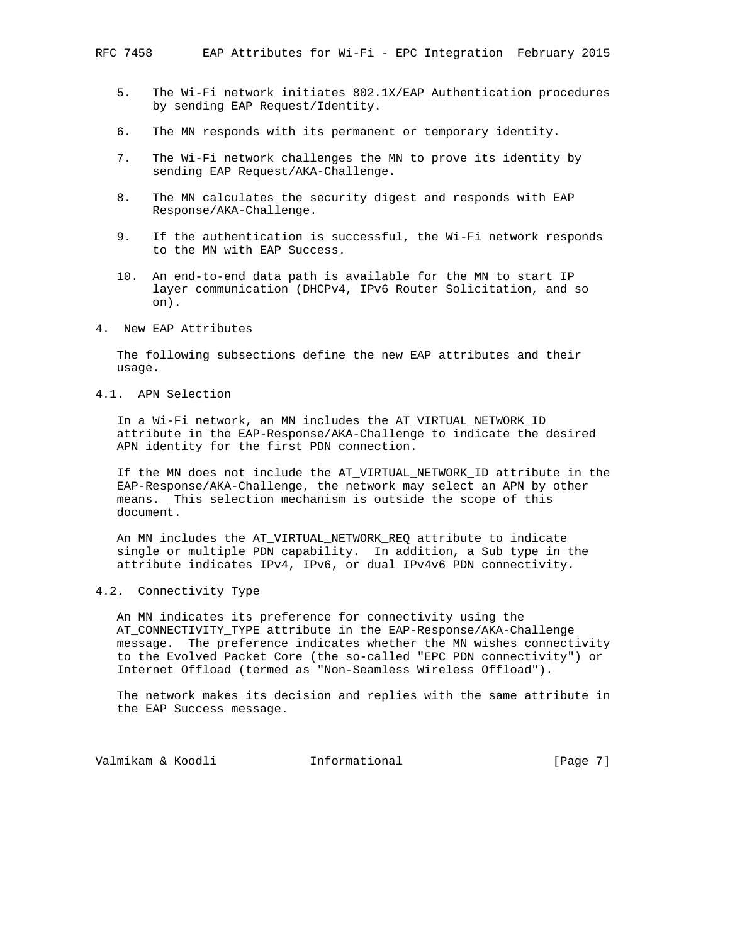- 5. The Wi-Fi network initiates 802.1X/EAP Authentication procedures by sending EAP Request/Identity.
- 6. The MN responds with its permanent or temporary identity.
- 7. The Wi-Fi network challenges the MN to prove its identity by sending EAP Request/AKA-Challenge.
- 8. The MN calculates the security digest and responds with EAP Response/AKA-Challenge.
- 9. If the authentication is successful, the Wi-Fi network responds to the MN with EAP Success.
- 10. An end-to-end data path is available for the MN to start IP layer communication (DHCPv4, IPv6 Router Solicitation, and so on).
- 4. New EAP Attributes

 The following subsections define the new EAP attributes and their usage.

4.1. APN Selection

 In a Wi-Fi network, an MN includes the AT\_VIRTUAL\_NETWORK\_ID attribute in the EAP-Response/AKA-Challenge to indicate the desired APN identity for the first PDN connection.

 If the MN does not include the AT\_VIRTUAL\_NETWORK\_ID attribute in the EAP-Response/AKA-Challenge, the network may select an APN by other means. This selection mechanism is outside the scope of this document.

 An MN includes the AT\_VIRTUAL\_NETWORK\_REQ attribute to indicate single or multiple PDN capability. In addition, a Sub type in the attribute indicates IPv4, IPv6, or dual IPv4v6 PDN connectivity.

4.2. Connectivity Type

 An MN indicates its preference for connectivity using the AT\_CONNECTIVITY\_TYPE attribute in the EAP-Response/AKA-Challenge message. The preference indicates whether the MN wishes connectivity to the Evolved Packet Core (the so-called "EPC PDN connectivity") or Internet Offload (termed as "Non-Seamless Wireless Offload").

 The network makes its decision and replies with the same attribute in the EAP Success message.

Valmikam & Koodli **Informational** [Page 7]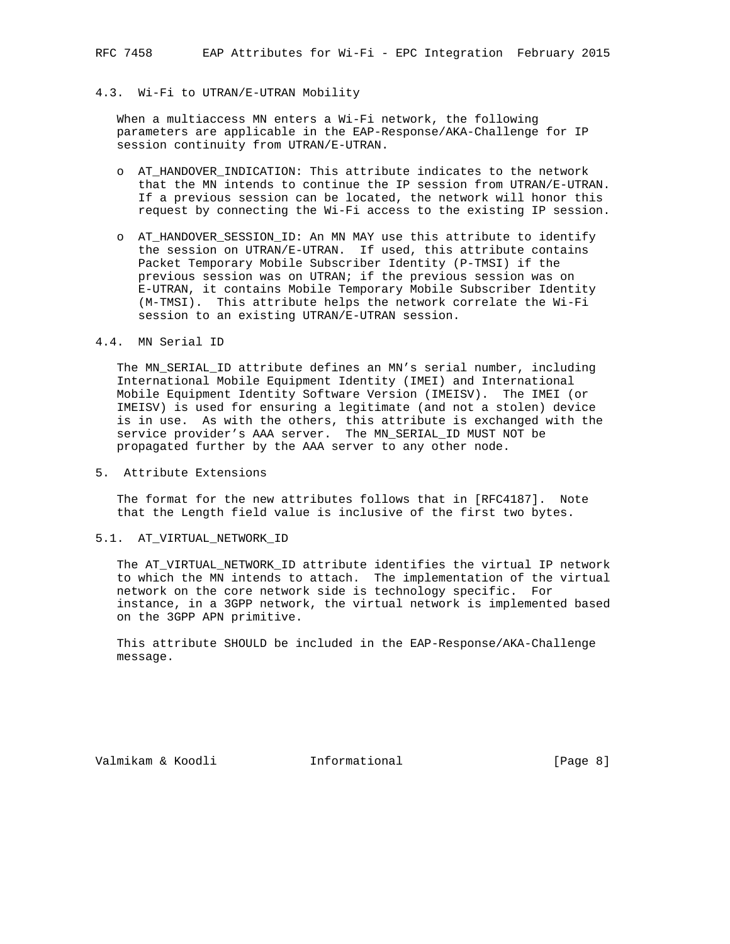## 4.3. Wi-Fi to UTRAN/E-UTRAN Mobility

 When a multiaccess MN enters a Wi-Fi network, the following parameters are applicable in the EAP-Response/AKA-Challenge for IP session continuity from UTRAN/E-UTRAN.

- o AT\_HANDOVER\_INDICATION: This attribute indicates to the network that the MN intends to continue the IP session from UTRAN/E-UTRAN. If a previous session can be located, the network will honor this request by connecting the Wi-Fi access to the existing IP session.
- o AT\_HANDOVER\_SESSION\_ID: An MN MAY use this attribute to identify the session on UTRAN/E-UTRAN. If used, this attribute contains Packet Temporary Mobile Subscriber Identity (P-TMSI) if the previous session was on UTRAN; if the previous session was on E-UTRAN, it contains Mobile Temporary Mobile Subscriber Identity (M-TMSI). This attribute helps the network correlate the Wi-Fi session to an existing UTRAN/E-UTRAN session.

#### 4.4. MN Serial ID

 The MN\_SERIAL\_ID attribute defines an MN's serial number, including International Mobile Equipment Identity (IMEI) and International Mobile Equipment Identity Software Version (IMEISV). The IMEI (or IMEISV) is used for ensuring a legitimate (and not a stolen) device is in use. As with the others, this attribute is exchanged with the service provider's AAA server. The MN\_SERIAL\_ID MUST NOT be propagated further by the AAA server to any other node.

5. Attribute Extensions

 The format for the new attributes follows that in [RFC4187]. Note that the Length field value is inclusive of the first two bytes.

5.1. AT\_VIRTUAL\_NETWORK\_ID

 The AT\_VIRTUAL\_NETWORK\_ID attribute identifies the virtual IP network to which the MN intends to attach. The implementation of the virtual network on the core network side is technology specific. For instance, in a 3GPP network, the virtual network is implemented based on the 3GPP APN primitive.

 This attribute SHOULD be included in the EAP-Response/AKA-Challenge message.

Valmikam & Koodli **Informational** [Page 8]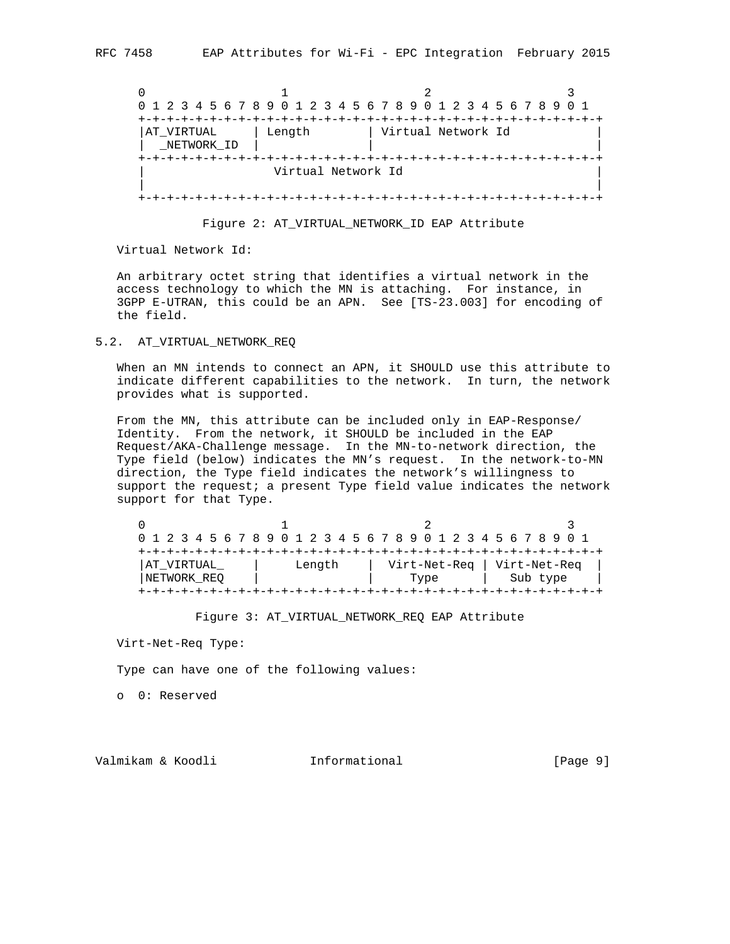| 0 1 2 3 4 5 6 7 8 9 0 1 2 3 4 5 6 7 8 9 0 1 2 3 4 5 6 7 8 9 0 1 |                    |                    |  |
|-----------------------------------------------------------------|--------------------|--------------------|--|
|                                                                 |                    |                    |  |
| AT VIRTUAL<br>NETWORK ID                                        | Length             | Virtual Network Id |  |
|                                                                 |                    |                    |  |
|                                                                 | Virtual Network Id |                    |  |
|                                                                 |                    |                    |  |



Virtual Network Id:

 An arbitrary octet string that identifies a virtual network in the access technology to which the MN is attaching. For instance, in 3GPP E-UTRAN, this could be an APN. See [TS-23.003] for encoding of the field.

#### 5.2. AT\_VIRTUAL\_NETWORK\_REQ

 When an MN intends to connect an APN, it SHOULD use this attribute to indicate different capabilities to the network. In turn, the network provides what is supported.

 From the MN, this attribute can be included only in EAP-Response/ Identity. From the network, it SHOULD be included in the EAP Request/AKA-Challenge message. In the MN-to-network direction, the Type field (below) indicates the MN's request. In the network-to-MN direction, the Type field indicates the network's willingness to support the request; a present Type field value indicates the network support for that Type.

| 0 1 2 3 4 5 6 7 8 9 0 1 2 3 4 5 6 7 8 9 0 1 2 3 4 5 6 7 8 9 0 1 |        |              |              |
|-----------------------------------------------------------------|--------|--------------|--------------|
|                                                                 |        |              |              |
| AT VIRTUAL                                                      | Length | Virt-Net-Req | Virt-Net-Reg |
| NETWORK REO                                                     |        | Type         | Sub type     |

Figure 3: AT\_VIRTUAL\_NETWORK\_REQ EAP Attribute

Virt-Net-Req Type:

Type can have one of the following values:

o 0: Reserved

Valmikam & Koodli **Informational** [Page 9]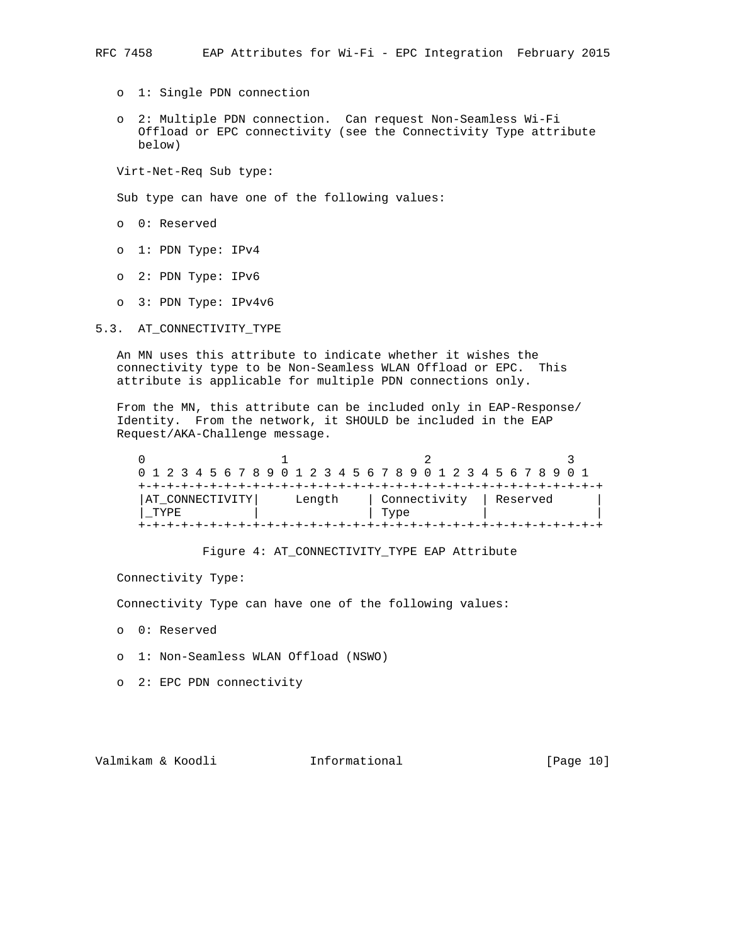- o 1: Single PDN connection
- o 2: Multiple PDN connection. Can request Non-Seamless Wi-Fi Offload or EPC connectivity (see the Connectivity Type attribute below)

Virt-Net-Req Sub type:

Sub type can have one of the following values:

- o 0: Reserved
- o 1: PDN Type: IPv4
- o 2: PDN Type: IPv6
- o 3: PDN Type: IPv4v6

5.3. AT\_CONNECTIVITY\_TYPE

 An MN uses this attribute to indicate whether it wishes the connectivity type to be Non-Seamless WLAN Offload or EPC. This attribute is applicable for multiple PDN connections only.

 From the MN, this attribute can be included only in EAP-Response/ Identity. From the network, it SHOULD be included in the EAP Request/AKA-Challenge message.

| 0 1 2 3 4 5 6 7 8 9 0 1 2 3 4 5 6 7 8 9 0 1 2 3 4 5 6 7 8 9 0 1 |  |  |  |  |  |        |  |  |              |  |  |  |  |          |  |  |  |
|-----------------------------------------------------------------|--|--|--|--|--|--------|--|--|--------------|--|--|--|--|----------|--|--|--|
|                                                                 |  |  |  |  |  |        |  |  |              |  |  |  |  |          |  |  |  |
| AT CONNECTIVITY                                                 |  |  |  |  |  | Length |  |  | Connectivity |  |  |  |  | Reserved |  |  |  |
| TYPE.                                                           |  |  |  |  |  |        |  |  | Type         |  |  |  |  |          |  |  |  |
|                                                                 |  |  |  |  |  |        |  |  |              |  |  |  |  |          |  |  |  |

Figure 4: AT\_CONNECTIVITY\_TYPE EAP Attribute

Connectivity Type:

Connectivity Type can have one of the following values:

- o 0: Reserved
- o 1: Non-Seamless WLAN Offload (NSWO)
- o 2: EPC PDN connectivity

Valmikam & Koodli Informational [Page 10]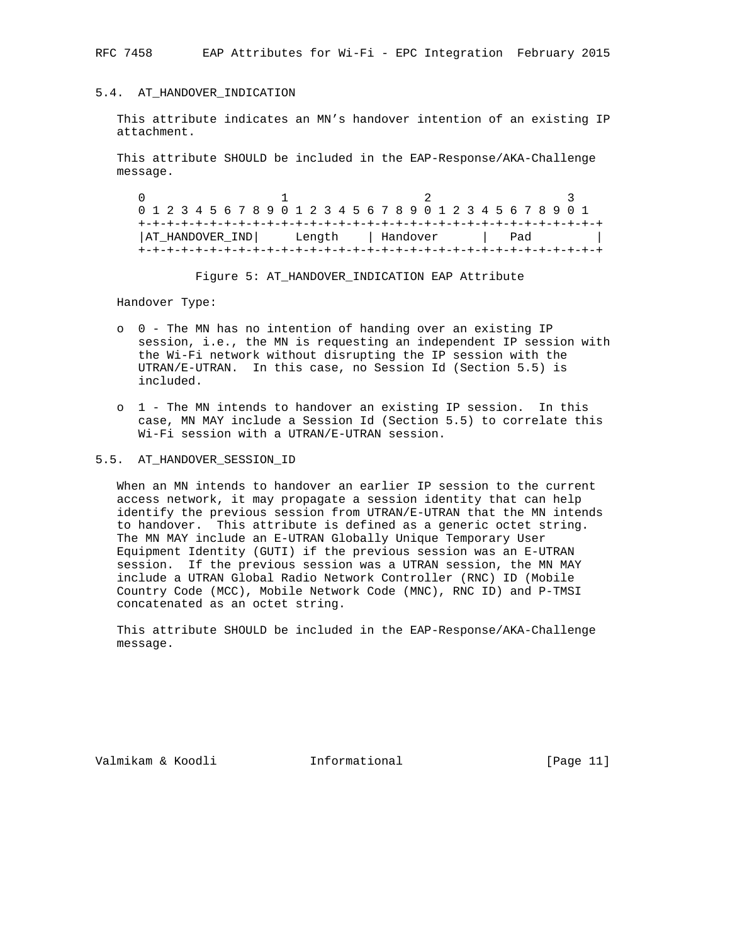RFC 7458 EAP Attributes for Wi-Fi - EPC Integration February 2015

## 5.4. AT\_HANDOVER\_INDICATION

 This attribute indicates an MN's handover intention of an existing IP attachment.

 This attribute SHOULD be included in the EAP-Response/AKA-Challenge message.

0  $1$   $2$   $3$  0 1 2 3 4 5 6 7 8 9 0 1 2 3 4 5 6 7 8 9 0 1 2 3 4 5 6 7 8 9 0 1 +-+-+-+-+-+-+-+-+-+-+-+-+-+-+-+-+-+-+-+-+-+-+-+-+-+-+-+-+-+-+-+-+ |AT\_HANDOVER\_IND| Length | Handover | Pad | +-+-+-+-+-+-+-+-+-+-+-+-+-+-+-+-+-+-+-+-+-+-+-+-+-+-+-+-+-+-+-+-+

Figure 5: AT\_HANDOVER\_INDICATION EAP Attribute

Handover Type:

- o 0 The MN has no intention of handing over an existing IP session, i.e., the MN is requesting an independent IP session with the Wi-Fi network without disrupting the IP session with the UTRAN/E-UTRAN. In this case, no Session Id (Section 5.5) is included.
- o 1 The MN intends to handover an existing IP session. In this case, MN MAY include a Session Id (Section 5.5) to correlate this Wi-Fi session with a UTRAN/E-UTRAN session.

#### 5.5. AT\_HANDOVER\_SESSION\_ID

 When an MN intends to handover an earlier IP session to the current access network, it may propagate a session identity that can help identify the previous session from UTRAN/E-UTRAN that the MN intends to handover. This attribute is defined as a generic octet string. The MN MAY include an E-UTRAN Globally Unique Temporary User Equipment Identity (GUTI) if the previous session was an E-UTRAN session. If the previous session was a UTRAN session, the MN MAY include a UTRAN Global Radio Network Controller (RNC) ID (Mobile Country Code (MCC), Mobile Network Code (MNC), RNC ID) and P-TMSI concatenated as an octet string.

 This attribute SHOULD be included in the EAP-Response/AKA-Challenge message.

Valmikam & Koodli Informational [Page 11]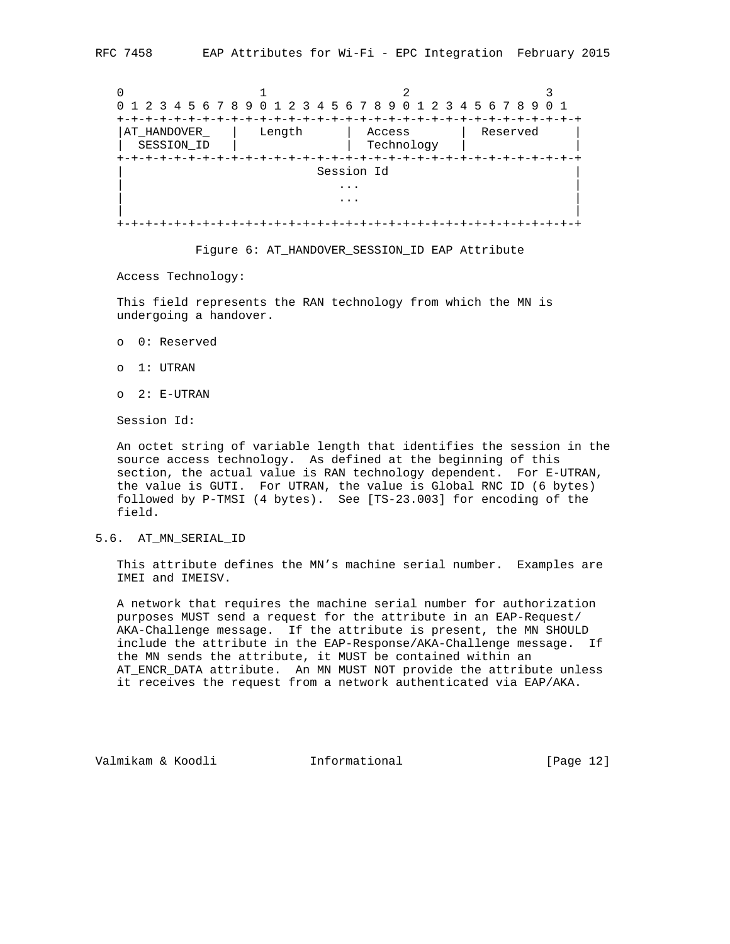| 0 1 2 3 4 5 6 7 8 9 0 1 2 3 4 5 6 7 8 9 0 1 2 3 4 5 6 7 8 9 0 1 |        |                      |          |
|-----------------------------------------------------------------|--------|----------------------|----------|
| +-+-+-+-+-+                                                     |        |                      |          |
| AT HANDOVER<br>SESSION ID                                       | Length | Access<br>Technology | Reserved |
|                                                                 |        |                      |          |
|                                                                 |        | Session Id           |          |
|                                                                 |        |                      |          |
|                                                                 |        |                      |          |
|                                                                 |        |                      |          |
|                                                                 |        |                      |          |

#### Figure 6: AT\_HANDOVER\_SESSION\_ID EAP Attribute

Access Technology:

 This field represents the RAN technology from which the MN is undergoing a handover.

- o 0: Reserved
- o 1: UTRAN
- o 2: E-UTRAN

Session Id:

 An octet string of variable length that identifies the session in the source access technology. As defined at the beginning of this section, the actual value is RAN technology dependent. For E-UTRAN, the value is GUTI. For UTRAN, the value is Global RNC ID (6 bytes) followed by P-TMSI (4 bytes). See [TS-23.003] for encoding of the field.

# 5.6. AT\_MN\_SERIAL\_ID

 This attribute defines the MN's machine serial number. Examples are IMEI and IMEISV.

 A network that requires the machine serial number for authorization purposes MUST send a request for the attribute in an EAP-Request/ AKA-Challenge message. If the attribute is present, the MN SHOULD include the attribute in the EAP-Response/AKA-Challenge message. If the MN sends the attribute, it MUST be contained within an AT\_ENCR\_DATA attribute. An MN MUST NOT provide the attribute unless it receives the request from a network authenticated via EAP/AKA.

Valmikam & Koodli Informational [Page 12]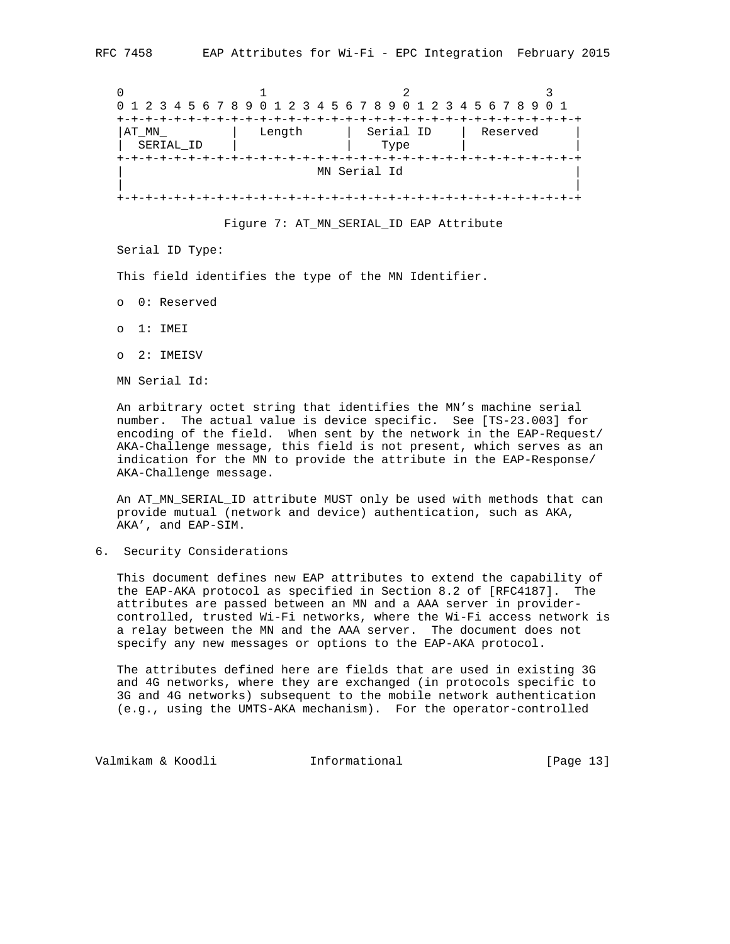|           |        | 0 1 2 3 4 5 6 7 8 9 0 1 2 3 4 5 6 7 8 9 0 1 2 3 4 5 6 7 8 9 0 1 |          |
|-----------|--------|-----------------------------------------------------------------|----------|
|           |        |                                                                 |          |
| AT MN     | Length | Serial ID                                                       | Reserved |
| SERIAL ID |        | Type                                                            |          |
|           |        |                                                                 |          |
|           |        | MN Serial Id                                                    |          |
|           |        |                                                                 |          |
|           |        |                                                                 |          |

Figure 7: AT\_MN\_SERIAL\_ID EAP Attribute

Serial ID Type:

This field identifies the type of the MN Identifier.

- o 0: Reserved
- o 1: IMEI
- o 2: IMEISV

MN Serial Id:

 An arbitrary octet string that identifies the MN's machine serial number. The actual value is device specific. See [TS-23.003] for encoding of the field. When sent by the network in the EAP-Request/ AKA-Challenge message, this field is not present, which serves as an indication for the MN to provide the attribute in the EAP-Response/ AKA-Challenge message.

 An AT\_MN\_SERIAL\_ID attribute MUST only be used with methods that can provide mutual (network and device) authentication, such as AKA, AKA', and EAP-SIM.

6. Security Considerations

 This document defines new EAP attributes to extend the capability of the EAP-AKA protocol as specified in Section 8.2 of [RFC4187]. The attributes are passed between an MN and a AAA server in provider controlled, trusted Wi-Fi networks, where the Wi-Fi access network is a relay between the MN and the AAA server. The document does not specify any new messages or options to the EAP-AKA protocol.

 The attributes defined here are fields that are used in existing 3G and 4G networks, where they are exchanged (in protocols specific to 3G and 4G networks) subsequent to the mobile network authentication (e.g., using the UMTS-AKA mechanism). For the operator-controlled

Valmikam & Koodli **Informational** [Page 13]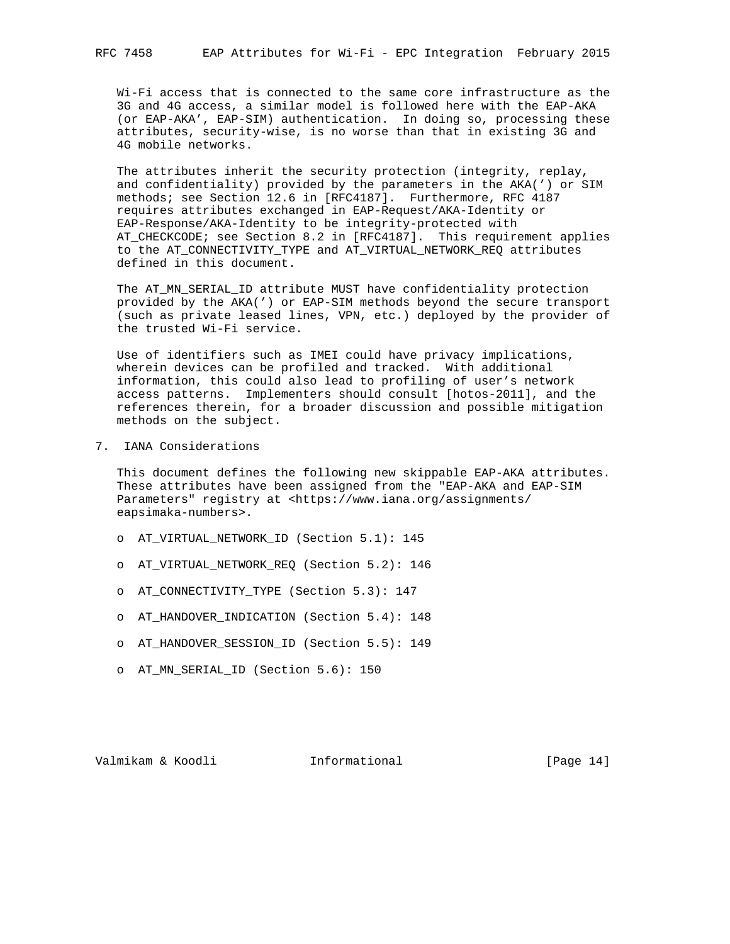Wi-Fi access that is connected to the same core infrastructure as the 3G and 4G access, a similar model is followed here with the EAP-AKA (or EAP-AKA', EAP-SIM) authentication. In doing so, processing these attributes, security-wise, is no worse than that in existing 3G and 4G mobile networks.

 The attributes inherit the security protection (integrity, replay, and confidentiality) provided by the parameters in the AKA(') or SIM methods; see Section 12.6 in [RFC4187]. Furthermore, RFC 4187 requires attributes exchanged in EAP-Request/AKA-Identity or EAP-Response/AKA-Identity to be integrity-protected with AT\_CHECKCODE; see Section 8.2 in [RFC4187]. This requirement applies to the AT\_CONNECTIVITY\_TYPE and AT\_VIRTUAL\_NETWORK\_REQ attributes defined in this document.

 The AT\_MN\_SERIAL\_ID attribute MUST have confidentiality protection provided by the AKA(') or EAP-SIM methods beyond the secure transport (such as private leased lines, VPN, etc.) deployed by the provider of the trusted Wi-Fi service.

 Use of identifiers such as IMEI could have privacy implications, wherein devices can be profiled and tracked. With additional information, this could also lead to profiling of user's network access patterns. Implementers should consult [hotos-2011], and the references therein, for a broader discussion and possible mitigation methods on the subject.

7. IANA Considerations

 This document defines the following new skippable EAP-AKA attributes. These attributes have been assigned from the "EAP-AKA and EAP-SIM Parameters" registry at <https://www.iana.org/assignments/ eapsimaka-numbers>.

- o AT\_VIRTUAL\_NETWORK\_ID (Section 5.1): 145
- o AT\_VIRTUAL\_NETWORK\_REQ (Section 5.2): 146
- o AT\_CONNECTIVITY\_TYPE (Section 5.3): 147
- o AT\_HANDOVER\_INDICATION (Section 5.4): 148
- o AT\_HANDOVER\_SESSION\_ID (Section 5.5): 149
- o AT\_MN\_SERIAL\_ID (Section 5.6): 150

Valmikam & Koodli Informational [Page 14]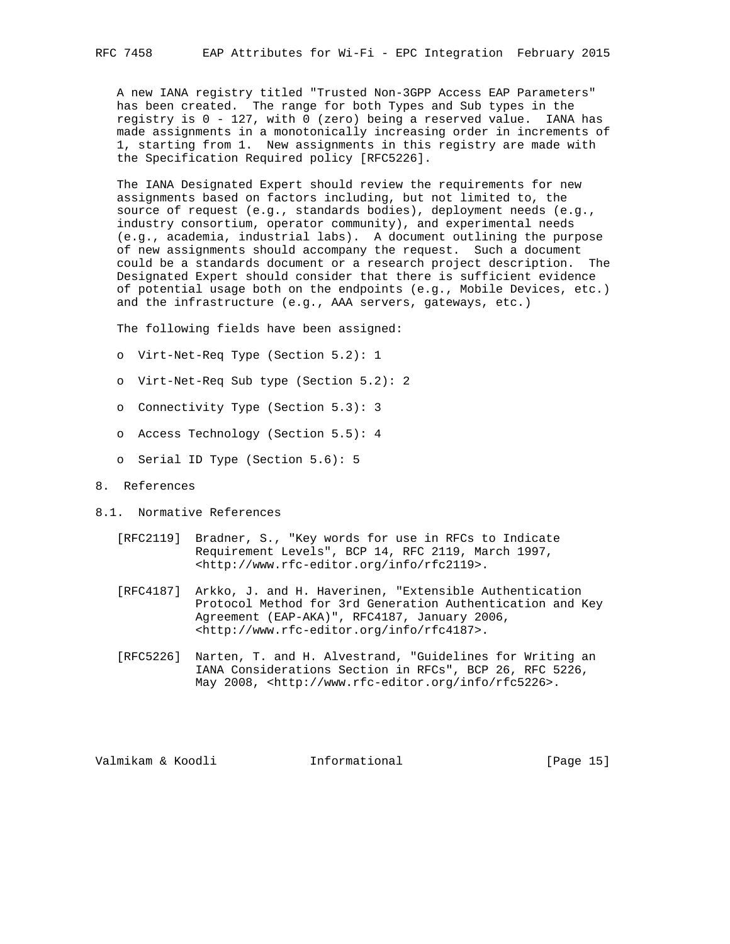A new IANA registry titled "Trusted Non-3GPP Access EAP Parameters" has been created. The range for both Types and Sub types in the registry is 0 - 127, with 0 (zero) being a reserved value. IANA has made assignments in a monotonically increasing order in increments of 1, starting from 1. New assignments in this registry are made with the Specification Required policy [RFC5226].

 The IANA Designated Expert should review the requirements for new assignments based on factors including, but not limited to, the source of request (e.g., standards bodies), deployment needs (e.g., industry consortium, operator community), and experimental needs (e.g., academia, industrial labs). A document outlining the purpose of new assignments should accompany the request. Such a document could be a standards document or a research project description. The Designated Expert should consider that there is sufficient evidence of potential usage both on the endpoints (e.g., Mobile Devices, etc.) and the infrastructure (e.g., AAA servers, gateways, etc.)

The following fields have been assigned:

- o Virt-Net-Req Type (Section 5.2): 1
- o Virt-Net-Req Sub type (Section 5.2): 2
- o Connectivity Type (Section 5.3): 3
- o Access Technology (Section 5.5): 4
- o Serial ID Type (Section 5.6): 5

## 8. References

- 8.1. Normative References
	- [RFC2119] Bradner, S., "Key words for use in RFCs to Indicate Requirement Levels", BCP 14, RFC 2119, March 1997, <http://www.rfc-editor.org/info/rfc2119>.
	- [RFC4187] Arkko, J. and H. Haverinen, "Extensible Authentication Protocol Method for 3rd Generation Authentication and Key Agreement (EAP-AKA)", RFC4187, January 2006, <http://www.rfc-editor.org/info/rfc4187>.
	- [RFC5226] Narten, T. and H. Alvestrand, "Guidelines for Writing an IANA Considerations Section in RFCs", BCP 26, RFC 5226, May 2008, <http://www.rfc-editor.org/info/rfc5226>.

Valmikam & Koodli Informational [Page 15]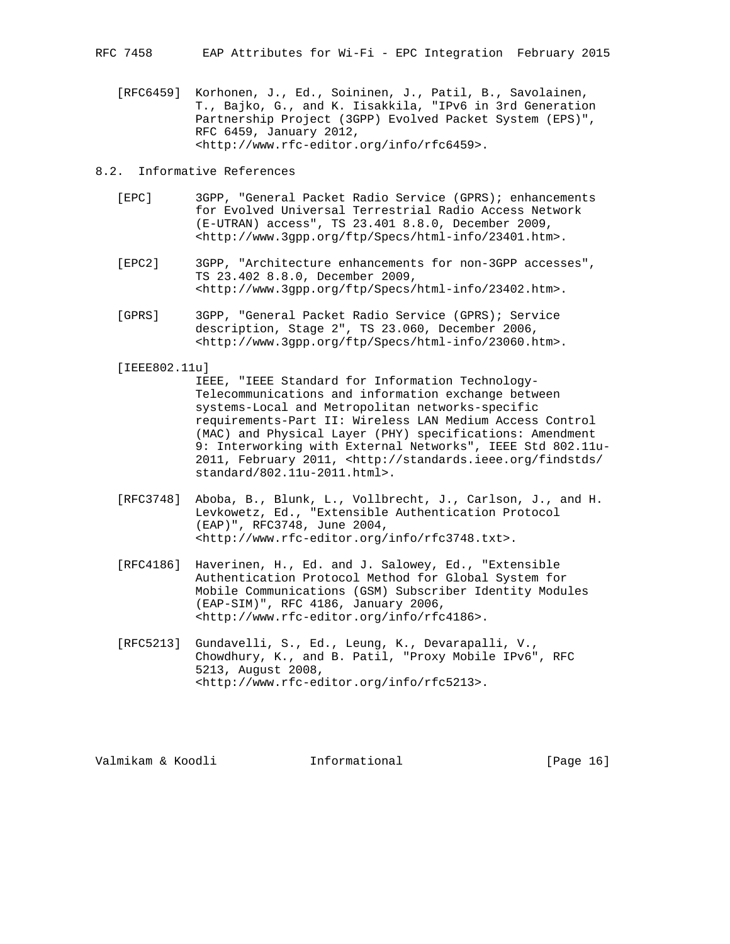[RFC6459] Korhonen, J., Ed., Soininen, J., Patil, B., Savolainen, T., Bajko, G., and K. Iisakkila, "IPv6 in 3rd Generation Partnership Project (3GPP) Evolved Packet System (EPS)", RFC 6459, January 2012, <http://www.rfc-editor.org/info/rfc6459>.

8.2. Informative References

- [EPC] 3GPP, "General Packet Radio Service (GPRS); enhancements for Evolved Universal Terrestrial Radio Access Network (E-UTRAN) access", TS 23.401 8.8.0, December 2009, <http://www.3gpp.org/ftp/Specs/html-info/23401.htm>.
- [EPC2] 3GPP, "Architecture enhancements for non-3GPP accesses", TS 23.402 8.8.0, December 2009, <http://www.3gpp.org/ftp/Specs/html-info/23402.htm>.
- [GPRS] 3GPP, "General Packet Radio Service (GPRS); Service description, Stage 2", TS 23.060, December 2006, <http://www.3gpp.org/ftp/Specs/html-info/23060.htm>.

[IEEE802.11u]

 IEEE, "IEEE Standard for Information Technology- Telecommunications and information exchange between systems-Local and Metropolitan networks-specific requirements-Part II: Wireless LAN Medium Access Control (MAC) and Physical Layer (PHY) specifications: Amendment 9: Interworking with External Networks", IEEE Std 802.11u- 2011, February 2011, <http://standards.ieee.org/findstds/ standard/802.11u-2011.html>.

- [RFC3748] Aboba, B., Blunk, L., Vollbrecht, J., Carlson, J., and H. Levkowetz, Ed., "Extensible Authentication Protocol (EAP)", RFC3748, June 2004, <http://www.rfc-editor.org/info/rfc3748.txt>.
- [RFC4186] Haverinen, H., Ed. and J. Salowey, Ed., "Extensible Authentication Protocol Method for Global System for Mobile Communications (GSM) Subscriber Identity Modules (EAP-SIM)", RFC 4186, January 2006, <http://www.rfc-editor.org/info/rfc4186>.
- [RFC5213] Gundavelli, S., Ed., Leung, K., Devarapalli, V., Chowdhury, K., and B. Patil, "Proxy Mobile IPv6", RFC 5213, August 2008, <http://www.rfc-editor.org/info/rfc5213>.

Valmikam & Koodli Informational [Page 16]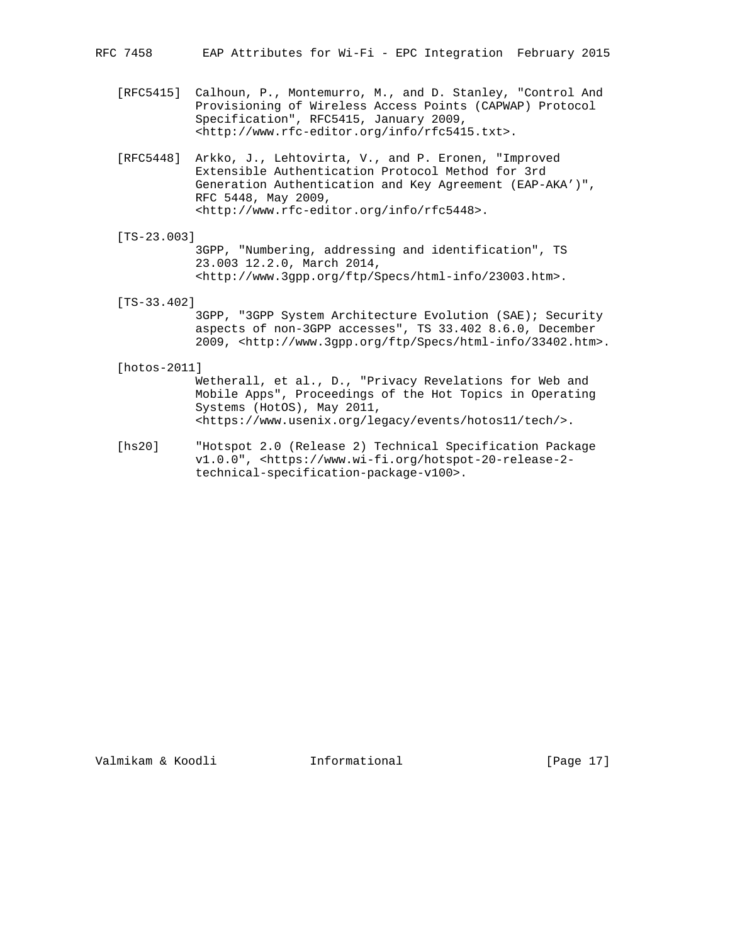RFC 7458 EAP Attributes for Wi-Fi - EPC Integration February 2015

- [RFC5415] Calhoun, P., Montemurro, M., and D. Stanley, "Control And Provisioning of Wireless Access Points (CAPWAP) Protocol Specification", RFC5415, January 2009, <http://www.rfc-editor.org/info/rfc5415.txt>.
- [RFC5448] Arkko, J., Lehtovirta, V., and P. Eronen, "Improved Extensible Authentication Protocol Method for 3rd Generation Authentication and Key Agreement (EAP-AKA')", RFC 5448, May 2009, <http://www.rfc-editor.org/info/rfc5448>.
- [TS-23.003]

 3GPP, "Numbering, addressing and identification", TS 23.003 12.2.0, March 2014, <http://www.3gpp.org/ftp/Specs/html-info/23003.htm>.

[TS-33.402]

 3GPP, "3GPP System Architecture Evolution (SAE); Security aspects of non-3GPP accesses", TS 33.402 8.6.0, December 2009, <http://www.3gpp.org/ftp/Specs/html-info/33402.htm>.

[hotos-2011]

 Wetherall, et al., D., "Privacy Revelations for Web and Mobile Apps", Proceedings of the Hot Topics in Operating Systems (HotOS), May 2011, <https://www.usenix.org/legacy/events/hotos11/tech/>.

 [hs20] "Hotspot 2.0 (Release 2) Technical Specification Package v1.0.0", <https://www.wi-fi.org/hotspot-20-release-2 technical-specification-package-v100>.